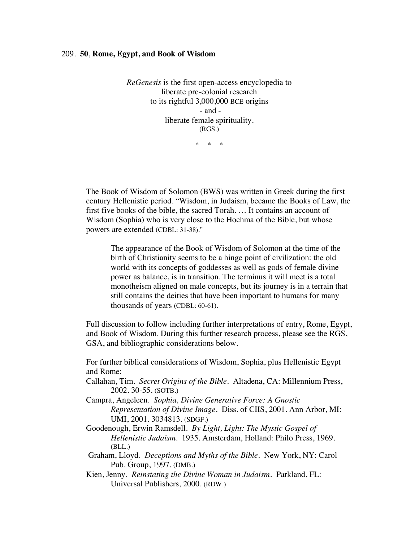## 209. **50**, **Rome, Egypt, and Book of Wisdom**

*ReGenesis* is the first open-access encyclopedia to liberate pre-colonial research to its rightful 3,000,000 BCE origins - and liberate female spirituality. (RGS.) \* \* \*

The Book of Wisdom of Solomon (BWS) was written in Greek during the first century Hellenistic period. "Wisdom, in Judaism, became the Books of Law, the first five books of the bible, the sacred Torah. … It contains an account of Wisdom (Sophia) who is very close to the Hochma of the Bible, but whose powers are extended (CDBL: 31-38)."

The appearance of the Book of Wisdom of Solomon at the time of the birth of Christianity seems to be a hinge point of civilization: the old world with its concepts of goddesses as well as gods of female divine power as balance, is in transition. The terminus it will meet is a total monotheism aligned on male concepts, but its journey is in a terrain that still contains the deities that have been important to humans for many thousands of years (CDBL: 60-61).

Full discussion to follow including further interpretations of entry, Rome, Egypt, and Book of Wisdom. During this further research process, please see the RGS, GSA, and bibliographic considerations below.

For further biblical considerations of Wisdom, Sophia, plus Hellenistic Egypt and Rome:

- Callahan, Tim. *Secret Origins of the Bible.* Altadena, CA: Millennium Press, 2002. 30-55. (SOTB.)
- Campra, Angeleen. *Sophia, Divine Generative Force: A Gnostic Representation of Divine Image.* Diss. of CIIS, 2001. Ann Arbor, MI: UMI, 2001. 3034813. (SDGF.)
- Goodenough, Erwin Ramsdell. *By Light, Light: The Mystic Gospel of Hellenistic Judaism*. 1935. Amsterdam, Holland: Philo Press, 1969. (BLL.)
- Graham, Lloyd. *Deceptions and Myths of the Bible*. New York, NY: Carol Pub. Group, 1997. (DMB.)
- Kien, Jenny. *Reinstating the Divine Woman in Judaism.* Parkland, FL: Universal Publishers, 2000. (RDW.)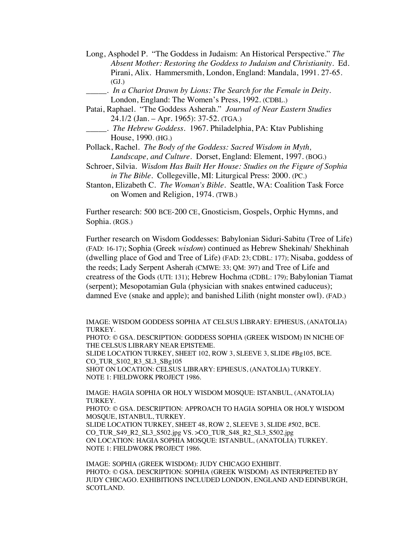- Long, Asphodel P. "The Goddess in Judaism: An Historical Perspective." *The Absent Mother: Restoring the Goddess to Judaism and Christianity.* Ed. Pirani, Alix. Hammersmith, London, England: Mandala, 1991. 27-65. (GJ.)
- \_\_\_\_\_. *In a Chariot Drawn by Lions: The Search for the Female in Deity.* London, England: The Women's Press, 1992. (CDBL.)
- Patai, Raphael. "The Goddess Asherah." *Journal of Near Eastern Studies* 24.1/2 (Jan. – Apr. 1965): 37-52. (TGA.)
- \_\_\_\_\_. *The Hebrew Goddess.* 1967. Philadelphia, PA: Ktav Publishing House, 1990. (HG.)

Pollack, Rachel. *The Body of the Goddess: Sacred Wisdom in Myth, Landscape, and Culture.* Dorset, England: Element, 1997. (BOG.)

- Schroer, Silvia. *Wisdom Has Built Her House: Studies on the Figure of Sophia in The Bible.* Collegeville, MI: Liturgical Press: 2000. (PC.)
- Stanton, Elizabeth C. *The Woman's Bible*. Seattle, WA: Coalition Task Force on Women and Religion, 1974. (TWB.)

Further research: 500 BCE-200 CE, Gnosticism, Gospels, Orphic Hymns, and Sophia. (RGS.)

Further research on Wisdom Goddesses: Babylonian Siduri-Sabitu (Tree of Life) (FAD: 16-17); Sophia (Greek *wisdom*) continued as Hebrew Shekinah/ Shekhinah (dwelling place of God and Tree of Life) (FAD: 23; CDBL: 177); Nisaba, goddess of the reeds; Lady Serpent Asherah (CMWE: 33; QM: 397) and Tree of Life and creatress of the Gods (UTI: 131); Hebrew Hochma (CDBL: 179); Babylonian Tiamat (serpent); Mesopotamian Gula (physician with snakes entwined caduceus); damned Eve (snake and apple); and banished Lilith (night monster owl). (FAD.)

IMAGE: WISDOM GODDESS SOPHIA AT CELSUS LIBRARY: EPHESUS, (ANATOLIA) TURKEY. PHOTO: © GSA. DESCRIPTION: GODDESS SOPHIA (GREEK WISDOM) IN NICHE OF THE CELSUS LIBRARY NEAR EPISTEME. SLIDE LOCATION TURKEY, SHEET 102, ROW 3, SLEEVE 3, SLIDE #Bg105, BCE. CO\_TUR\_S102\_R3\_SL3\_SBg105 SHOT ON LOCATION: CELSUS LIBRARY: EPHESUS, (ANATOLIA) TURKEY. NOTE 1: FIELDWORK PROJECT 1986.

IMAGE: HAGIA SOPHIA OR HOLY WISDOM MOSQUE: ISTANBUL, (ANATOLIA) TURKEY. PHOTO: © GSA. DESCRIPTION: APPROACH TO HAGIA SOPHIA OR HOLY WISDOM

MOSQUE, ISTANBUL, TURKEY. SLIDE LOCATION TURKEY, SHEET 48, ROW 2, SLEEVE 3, SLIDE #502, BCE. CO\_TUR\_S49\_R2\_SL3\_S502.jpg VS. >CO\_TUR\_S48\_R2\_SL3\_S502.jpg ON LOCATION: HAGIA SOPHIA MOSQUE: ISTANBUL, (ANATOLIA) TURKEY.

NOTE 1: FIELDWORK PROJECT 1986.

IMAGE: SOPHIA (GREEK WISDOM): JUDY CHICAGO EXHIBIT. PHOTO: © GSA. DESCRIPTION: SOPHIA (GREEK WISDOM) AS INTERPRETED BY JUDY CHICAGO. EXHIBITIONS INCLUDED LONDON, ENGLAND AND EDINBURGH, SCOTLAND.